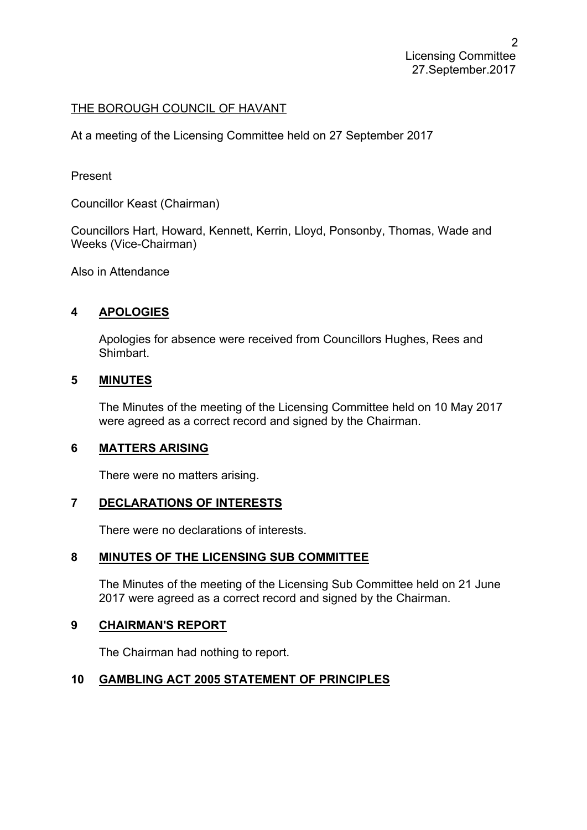## THE BOROUGH COUNCIL OF HAVANT

At a meeting of the Licensing Committee held on 27 September 2017

Present

Councillor Keast (Chairman)

Councillors Hart, Howard, Kennett, Kerrin, Lloyd, Ponsonby, Thomas, Wade and Weeks (Vice-Chairman)

Also in Attendance

# **4 APOLOGIES**

Apologies for absence were received from Councillors Hughes, Rees and Shimbart.

### **5 MINUTES**

The Minutes of the meeting of the Licensing Committee held on 10 May 2017 were agreed as a correct record and signed by the Chairman.

### **6 MATTERS ARISING**

There were no matters arising.

## **7 DECLARATIONS OF INTERESTS**

There were no declarations of interests.

### **8 MINUTES OF THE LICENSING SUB COMMITTEE**

The Minutes of the meeting of the Licensing Sub Committee held on 21 June 2017 were agreed as a correct record and signed by the Chairman.

### **9 CHAIRMAN'S REPORT**

The Chairman had nothing to report.

### **10 GAMBLING ACT 2005 STATEMENT OF PRINCIPLES**